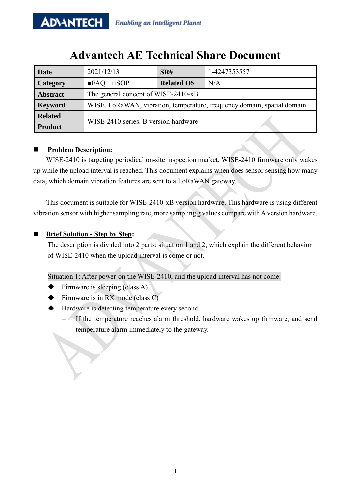# **Advantech AE Technical Share Document**

| Date            | 2021/12/13                                                               | SR#               | 1-4247353557 |
|-----------------|--------------------------------------------------------------------------|-------------------|--------------|
| Category        | $\Box$ sop<br>$\blacksquare$ FAQ                                         | <b>Related OS</b> | N/A          |
| <b>Abstract</b> | The general concept of WISE-2410-xB.                                     |                   |              |
| <b>Keyword</b>  | WISE, LoRaWAN, vibration, temperature, frequency domain, spatial domain. |                   |              |
| <b>Related</b>  | WISE-2410 series. B version hardware                                     |                   |              |
| <b>Product</b>  |                                                                          |                   |              |

## **Problem Description:**

WISE-2410 is targeting periodical on-site inspection market. WISE-2410 firmware only wakes up while the upload interval is reached. This document explains when does sensor sensing how many data, which domain vibration features are sent to a LoRaWAN gateway.

This document is suitable for WISE-2410-xB version hardware. This hardware is using different vibration sensor with higher sampling rate, more sampling g values compare with A version hardware.

## ■ **Brief Solution - Step by Step:**

The description is divided into 2 parts: situation 1 and 2, which explain the different behavior of WISE-2410 when the upload interval is come or not.

Situation 1: After power-on the WISE-2410, and the upload interval has not come:

- Firmware is sleeping (class A)
- $\blacklozenge$  Firmware is in RX mode (class C)
- Hardware is detecting temperature every second.
	- If the temperature reaches alarm threshold, hardware wakes up firmware, and send temperature alarm immediately to the gateway.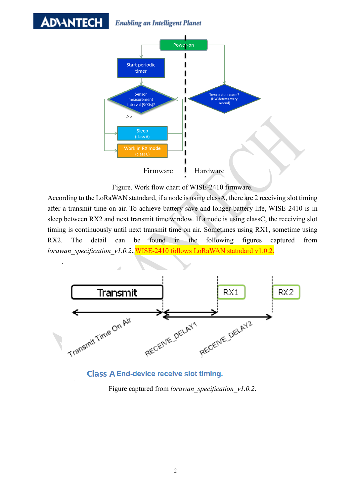#### **ADVANTECH Enabling an Intelligent Planet**

.



Figure. Work flow chart of WISE-2410 firmware.

According to the LoRaWAN statndard, if a node is using classA, there are 2 receiving slot timing after a transmit time on air. To achieve battery save and longer battery life, WISE-2410 is in sleep between RX2 and next transmit time window. If a node is using classC, the receiving slot timing is continuously until next transmit time on air. Sometimes using RX1, sometime using RX2. The detail can be found in the following figures captured from *lorawan\_specification\_v1.0.2*. WISE-2410 follows LoRaWAN statndard v1.0.2.





Figure captured from *lorawan\_specification\_v1.0.2*.